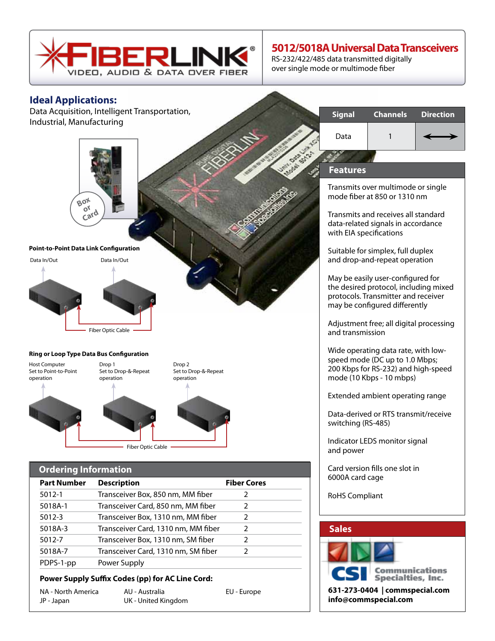

## **5012/5018A Universal Data Transceivers**

RS-232/422/485 data transmitted digitally over single mode or multimode fiber